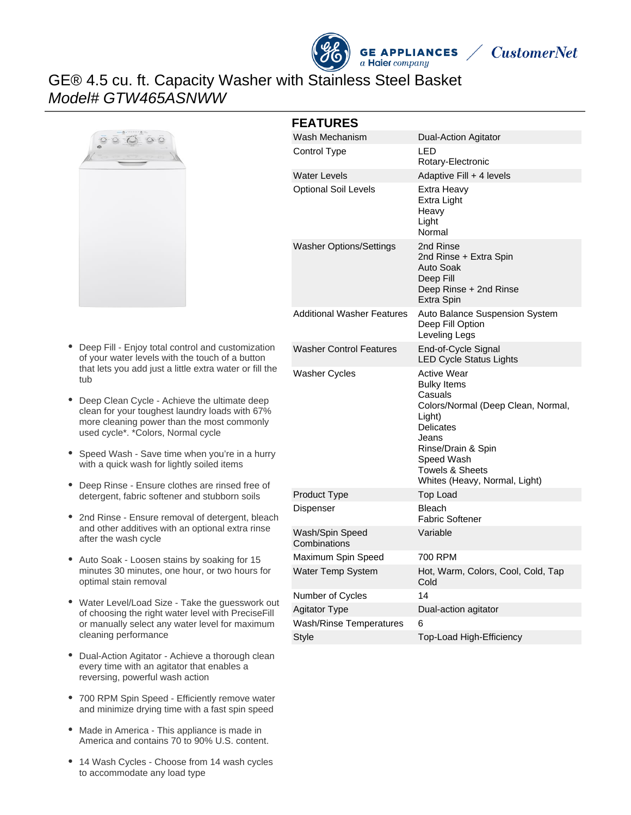



# GE® 4.5 cu. ft. Capacity Washer with Stainless Steel Basket Model# GTW465ASNWW



- $\bullet$ Deep Fill - Enjoy total control and customization of your water levels with the touch of a button that lets you add just a little extra water or fill the tub
- $\bullet$ Deep Clean Cycle - Achieve the ultimate deep clean for your toughest laundry loads with 67% more cleaning power than the most commonly used cycle\*. \*Colors, Normal cycle
- Speed Wash Save time when you're in a hurry with a quick wash for lightly soiled items
- Deep Rinse Ensure clothes are rinsed free of detergent, fabric softener and stubborn soils
- 2nd Rinse Ensure removal of detergent, bleach and other additives with an optional extra rinse after the wash cycle
- Auto Soak Loosen stains by soaking for 15 minutes 30 minutes, one hour, or two hours for optimal stain removal
- Water Level/Load Size Take the guesswork out of choosing the right water level with PreciseFill or manually select any water level for maximum cleaning performance
- Dual-Action Agitator Achieve a thorough clean  $\bullet$ every time with an agitator that enables a reversing, powerful wash action
- 700 RPM Spin Speed Efficiently remove water and minimize drying time with a fast spin speed
- Made in America This appliance is made in America and contains 70 to 90% U.S. content.
- 14 Wash Cycles Choose from 14 wash cycles to accommodate any load type

#### **FEATURES**

| Wash Mechanism                  | Dual-Action Agitator                                                                                                                                                                                              |
|---------------------------------|-------------------------------------------------------------------------------------------------------------------------------------------------------------------------------------------------------------------|
| Control Type                    | LED<br>Rotary-Electronic                                                                                                                                                                                          |
| <b>Water Levels</b>             | Adaptive Fill + 4 levels                                                                                                                                                                                          |
| <b>Optional Soil Levels</b>     | Extra Heavy<br>Extra Light<br>Heavy<br>Light<br>Normal                                                                                                                                                            |
| <b>Washer Options/Settings</b>  | 2nd Rinse<br>2nd Rinse + Extra Spin<br>Auto Soak<br>Deep Fill<br>Deep Rinse + 2nd Rinse<br>Extra Spin                                                                                                             |
| Additional Washer Features      | Auto Balance Suspension System<br>Deep Fill Option<br>Leveling Legs                                                                                                                                               |
| <b>Washer Control Features</b>  | End-of-Cycle Signal<br><b>LED Cycle Status Lights</b>                                                                                                                                                             |
| Washer Cycles                   | <b>Active Wear</b><br><b>Bulky Items</b><br>Casuals<br>Colors/Normal (Deep Clean, Normal,<br>Light)<br>Delicates<br>Jeans<br>Rinse/Drain & Spin<br>Speed Wash<br>Towels & Sheets<br>Whites (Heavy, Normal, Light) |
| Product Type                    | Top Load                                                                                                                                                                                                          |
| Dispenser                       | <b>Bleach</b><br>Fabric Softener                                                                                                                                                                                  |
| Wash/Spin Speed<br>Combinations | Variable                                                                                                                                                                                                          |
| Maximum Spin Speed              | 700 RPM                                                                                                                                                                                                           |
| <b>Water Temp System</b>        | Hot, Warm, Colors, Cool, Cold, Tap<br>Cold                                                                                                                                                                        |
| Number of Cycles                | 14                                                                                                                                                                                                                |
| <b>Agitator Type</b>            | Dual-action agitator                                                                                                                                                                                              |
| <b>Wash/Rinse Temperatures</b>  | 6                                                                                                                                                                                                                 |
| Style                           | Top-Load High-Efficiency                                                                                                                                                                                          |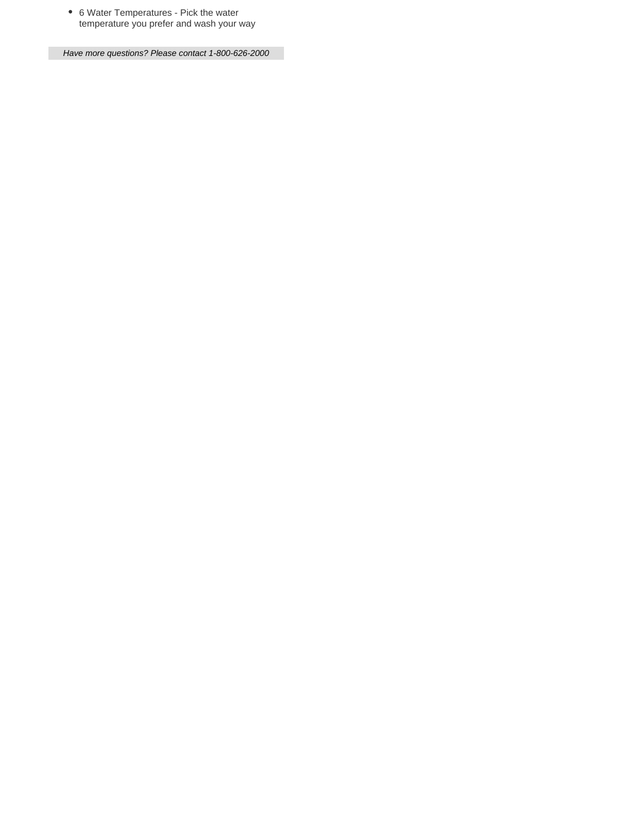6 Water Temperatures - Pick the water temperature you prefer and wash your way

Have more questions? Please contact 1-800-626-2000